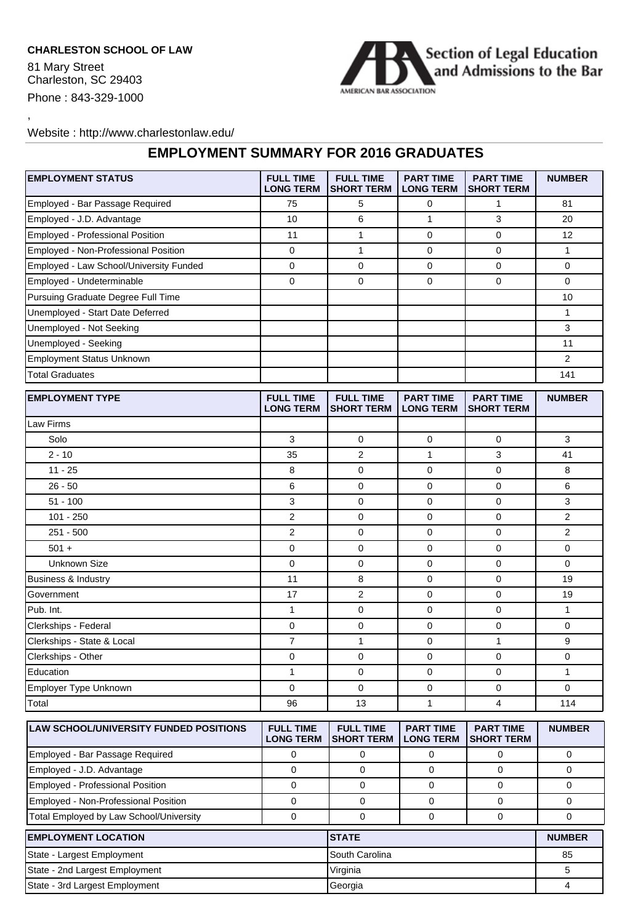## **CHARLESTON SCHOOL OF LAW**

81 Mary Street Charleston, SC 29403 Phone : 843-329-1000

,



## Website : http://www.charlestonlaw.edu/

## **EMPLOYMENT SUMMARY FOR 2016 GRADUATES**

| <b>EMPLOYMENT STATUS</b>                   | <b>FULL TIME</b><br><b>LONG TERM</b> | <b>FULL TIME</b><br><b>SHORT TERM</b> | <b>PART TIME</b><br><b>LONG TERM</b> | <b>PART TIME</b><br><b>SHORT TERM</b> | <b>NUMBER</b> |
|--------------------------------------------|--------------------------------------|---------------------------------------|--------------------------------------|---------------------------------------|---------------|
| Employed - Bar Passage Required            | 75                                   | 5                                     | 0                                    | $\mathbf{1}$                          | 81            |
| Employed - J.D. Advantage                  | 10                                   | 6                                     | 1                                    | 3                                     | 20            |
| Employed - Professional Position           | 11                                   | $\mathbf{1}$                          | 0                                    | $\mathbf 0$                           | 12            |
| Employed - Non-Professional Position       | 0                                    | 1                                     | 0                                    | $\mathbf 0$                           | $\mathbf{1}$  |
| Employed - Law School/University Funded    | 0                                    | 0                                     | 0                                    | $\mathbf 0$                           | 0             |
| Employed - Undeterminable                  | 0                                    | 0                                     | 0                                    | $\mathbf 0$                           | 0             |
| Pursuing Graduate Degree Full Time         |                                      |                                       |                                      |                                       | 10            |
| Unemployed - Start Date Deferred           |                                      |                                       |                                      |                                       | 1             |
| Unemployed - Not Seeking                   |                                      |                                       |                                      |                                       | 3             |
| Unemployed - Seeking                       |                                      |                                       |                                      |                                       | 11            |
| <b>Employment Status Unknown</b>           |                                      |                                       |                                      |                                       | 2             |
| <b>Total Graduates</b>                     |                                      |                                       |                                      |                                       | 141           |
| <b>EMPLOYMENT TYPE</b>                     | <b>FULL TIME</b><br><b>LONG TERM</b> | <b>FULL TIME</b><br><b>SHORT TERM</b> | <b>PART TIME</b><br><b>LONG TERM</b> | <b>PART TIME</b><br><b>SHORT TERM</b> | <b>NUMBER</b> |
| Law Firms                                  |                                      |                                       |                                      |                                       |               |
| Solo                                       | 3                                    | 0                                     | 0                                    | $\mathbf 0$                           | 3             |
| $2 - 10$                                   | 35                                   | $\overline{2}$                        | 1                                    | 3                                     | 41            |
| $11 - 25$                                  | 8                                    | 0                                     | 0                                    | $\mathbf 0$                           | 8             |
| $26 - 50$                                  | 6                                    | $\mathbf 0$                           | 0                                    | $\mathbf 0$                           | 6             |
| $51 - 100$                                 | 3                                    | 0                                     | 0                                    | $\mathbf 0$                           | 3             |
| $101 - 250$                                | $\overline{2}$                       | 0                                     | 0                                    | 0                                     | 2             |
| $251 - 500$                                | $\overline{2}$                       | $\mathbf 0$                           | 0                                    | $\mathbf 0$                           | 2             |
| $501 +$                                    | 0                                    | 0                                     | 0                                    | $\mathbf 0$                           | 0             |
| <b>Unknown Size</b>                        | 0                                    | 0                                     | 0                                    | $\mathbf 0$                           | 0             |
| <b>Business &amp; Industry</b>             | 11                                   | 8                                     | 0                                    | $\mathbf 0$                           | 19            |
| Government                                 | 17                                   | $\overline{2}$                        | 0                                    | $\mathbf 0$                           | 19            |
| Pub. Int.                                  | 1                                    | 0                                     | 0                                    | $\mathbf 0$                           | 1             |
| Clerkships - Federal                       | 0                                    | $\mathbf 0$                           | 0                                    | $\mathbf 0$                           | 0             |
| Clerkships - State & Local                 | 7                                    | $\mathbf{1}$                          | 0                                    | 1                                     | 9             |
| Clerkships - Other                         | 0                                    | 0                                     | 0                                    | 0                                     | 0             |
| Education                                  | $\mathbf{1}$                         | 0                                     | 0                                    | $\mathbf 0$                           | 1             |
| <b>Employer Type Unknown</b>               | 0                                    | $\mathbf 0$                           | 0                                    | $\mathbf 0$                           | 0             |
| Total                                      | 96                                   | 13                                    | 1                                    | 4                                     | 114           |
| LAW SCHOOL/UNIVERSITY FUNDED POSITIONS     | <b>FULL TIME</b><br><b>LONG TERM</b> | <b>FULL TIME</b><br><b>SHORT TERM</b> | <b>PART TIME</b><br><b>LONG TERM</b> | <b>PART TIME</b><br><b>SHORT TERM</b> | <b>NUMBER</b> |
| Employed - Bar Passage Required            | 0                                    | 0                                     | 0                                    | 0                                     | 0             |
| Employed - J.D. Advantage                  | 0                                    | $\mathbf 0$                           | 0                                    | 0                                     | 0             |
| Employed - Professional Position           | 0                                    | 0                                     | 0                                    | 0                                     | 0             |
| Employed - Non-Professional Position       | 0                                    | $\mathbf 0$                           | 0                                    | 0                                     | 0             |
| Total Employed by Law School/University    | 0                                    | $\mathbf 0$                           | 0                                    | 0                                     | 0             |
| <b>EMPLOYMENT LOCATION</b><br><b>STATE</b> |                                      |                                       |                                      |                                       | <b>NUMBER</b> |
| State - Largest Employment                 |                                      | South Carolina                        |                                      |                                       | 85            |
| State - 2nd Largest Employment             | Virginia                             |                                       |                                      | 5                                     |               |
| State - 3rd Largest Employment             | Georgia                              |                                       |                                      | $\overline{4}$                        |               |